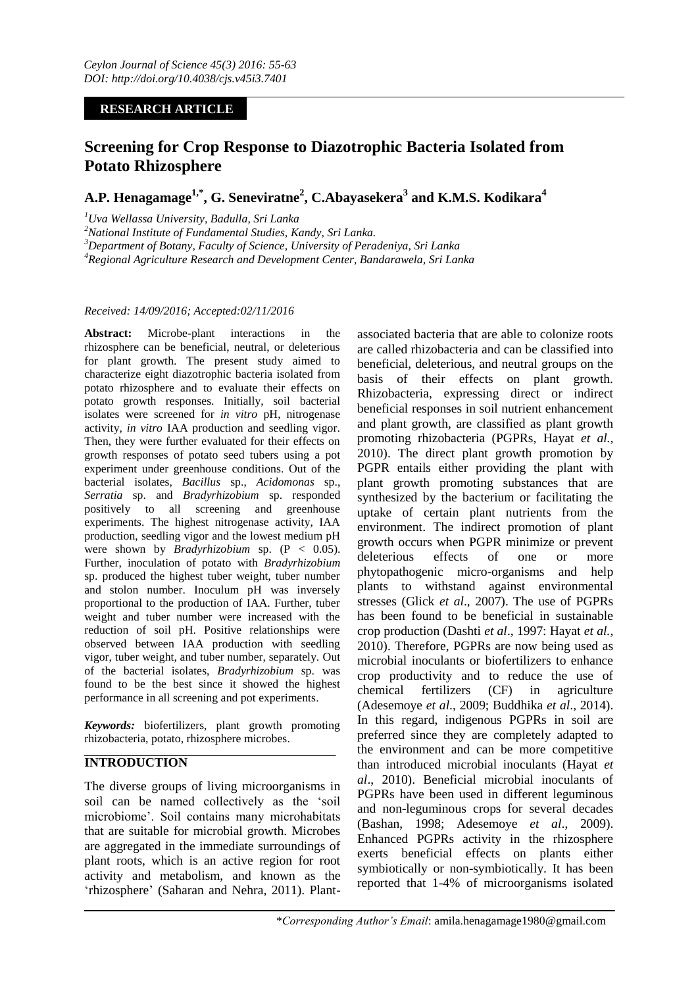## **RESEARCH ARTICLE**

# **Screening for Crop Response to Diazotrophic Bacteria Isolated from Potato Rhizosphere**

**A.P. Henagamage1,\*, G. Seneviratne<sup>2</sup> , C.Abayasekera<sup>3</sup> and K.M.S. Kodikara<sup>4</sup>**

*<sup>1</sup>Uva Wellassa University, Badulla, Sri Lanka*

*<sup>2</sup>National Institute of Fundamental Studies, Kandy, Sri Lanka.*

*<sup>3</sup>Department of Botany, Faculty of Science, University of Peradeniya, Sri Lanka*

*<sup>4</sup>Regional Agriculture Research and Development Center, Bandarawela, Sri Lanka*

#### *Received: 14/09/2016; Accepted:02/11/2016*

**Abstract:** Microbe-plant interactions in the rhizosphere can be beneficial, neutral, or deleterious for plant growth. The present study aimed to characterize eight diazotrophic bacteria isolated from potato rhizosphere and to evaluate their effects on potato growth responses. Initially, soil bacterial isolates were screened for *in vitro* pH, nitrogenase activity, *in vitro* IAA production and seedling vigor. Then, they were further evaluated for their effects on growth responses of potato seed tubers using a pot experiment under greenhouse conditions. Out of the bacterial isolates, *Bacillus* sp., *Acidomonas* sp., *Serratia* sp. and *Bradyrhizobium* sp. responded positively to all screening and greenhouse experiments. The highest nitrogenase activity, IAA production, seedling vigor and the lowest medium pH were shown by *Bradyrhizobium* sp. (P < 0.05). Further, inoculation of potato with *Bradyrhizobium*  sp. produced the highest tuber weight, tuber number and stolon number. Inoculum pH was inversely proportional to the production of IAA. Further, tuber weight and tuber number were increased with the reduction of soil pH. Positive relationships were observed between IAA production with seedling vigor, tuber weight, and tuber number, separately. Out of the bacterial isolates, *Bradyrhizobium* sp. was found to be the best since it showed the highest performance in all screening and pot experiments.

*Keywords:* biofertilizers, plant growth promoting rhizobacteria, potato, rhizosphere microbes.

# **INTRODUCTION**

The diverse groups of living microorganisms in soil can be named collectively as the 'soil microbiome'. Soil contains many microhabitats that are suitable for microbial growth. Microbes are aggregated in the immediate surroundings of plant roots, which is an active region for root activity and metabolism, and known as the 'rhizosphere' (Saharan and Nehra, 2011). Plant-

associated bacteria that are able to colonize roots are called rhizobacteria and can be classified into beneficial, deleterious, and neutral groups on the basis of their effects on plant growth. Rhizobacteria, expressing direct or indirect beneficial responses in soil nutrient enhancement and plant growth, are classified as plant growth promoting rhizobacteria (PGPRs, Hayat *et al.,*  2010). The direct plant growth promotion by PGPR entails either providing the plant with plant growth promoting substances that are synthesized by the bacterium or facilitating the uptake of certain plant nutrients from the environment. The indirect promotion of plant growth occurs when PGPR minimize or prevent deleterious effects of one or more phytopathogenic micro-organisms and help plants to withstand against environmental stresses (Glick *et al*., 2007). The use of PGPRs has been found to be beneficial in sustainable crop production (Dashti *et al*., 1997: Hayat *et al.,* 2010). Therefore, PGPRs are now being used as microbial inoculants or biofertilizers to enhance crop productivity and to reduce the use of chemical fertilizers (CF) in agriculture (Adesemoye *et al*., 2009; Buddhika *et al*., 2014). In this regard, indigenous PGPRs in soil are preferred since they are completely adapted to the environment and can be more competitive than introduced microbial inoculants (Hayat *et al*., 2010). Beneficial microbial inoculants of PGPRs have been used in different leguminous and non-leguminous crops for several decades (Bashan, 1998; Adesemoye *et al*., 2009). Enhanced PGPRs activity in the rhizosphere exerts beneficial effects on plants either symbiotically or non-symbiotically. It has been reported that 1-4% of microorganisms isolated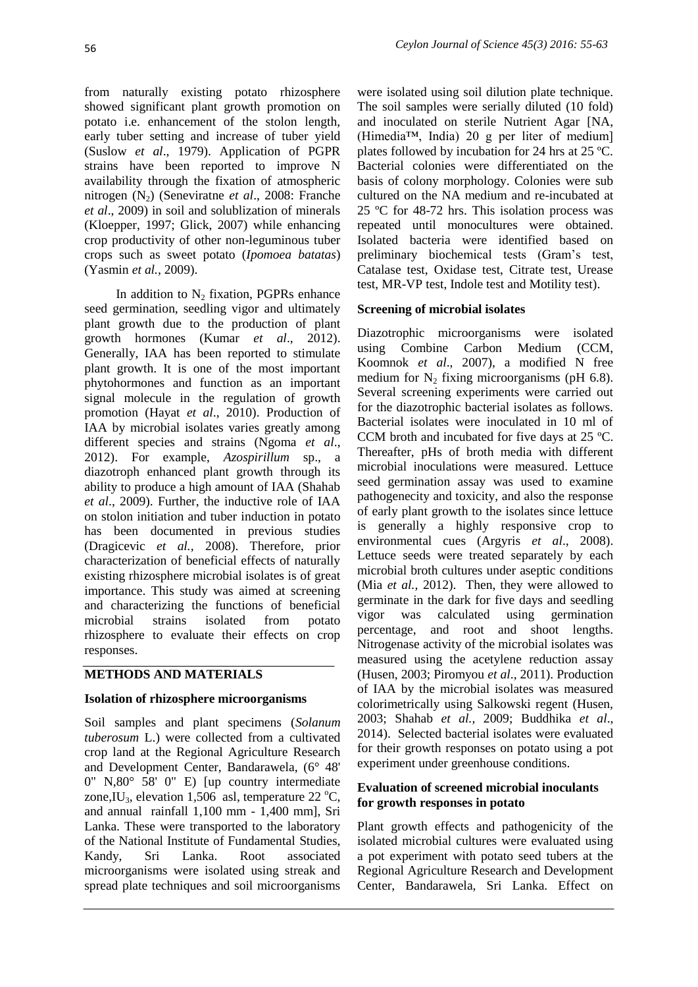from naturally existing potato rhizosphere showed significant plant growth promotion on potato i.e. enhancement of the stolon length, early tuber setting and increase of tuber yield (Suslow *et al*., 1979). Application of PGPR strains have been reported to improve N availability through the fixation of atmospheric nitrogen (N<sub>2</sub>) (Seneviratne *et al.*, 2008: Franche *et al*., 2009) in soil and solublization of minerals (Kloepper, 1997; Glick, 2007) while enhancing crop productivity of other non-leguminous tuber crops such as sweet potato (*Ipomoea batatas*) (Yasmin *et al.,* 2009).

In addition to  $N_2$  fixation, PGPRs enhance seed germination, seedling vigor and ultimately plant growth due to the production of plant growth hormones (Kumar *et al*., 2012). Generally, IAA has been reported to stimulate plant growth. It is one of the most important phytohormones and function as an important signal molecule in the regulation of growth promotion (Hayat *et al*., 2010). Production of IAA by microbial isolates varies greatly among different species and strains (Ngoma *et al*., 2012). For example, *Azospirillum* sp., a diazotroph enhanced plant growth through its ability to produce a high amount of IAA (Shahab *et al*., 2009). Further, the inductive role of IAA on stolon initiation and tuber induction in potato has been documented in previous studies (Dragicevic *et al.,* 2008). Therefore, prior characterization of beneficial effects of naturally existing rhizosphere microbial isolates is of great importance. This study was aimed at screening and characterizing the functions of beneficial microbial strains isolated from potato rhizosphere to evaluate their effects on crop responses.

### **METHODS AND MATERIALS**

### **Isolation of rhizosphere microorganisms**

Soil samples and plant specimens (*Solanum tuberosum* L.) were collected from a cultivated crop land at the Regional Agriculture Research and Development Center, Bandarawela, (6° 48' 0" N,80° 58' 0" E) [up country intermediate zone, IU<sub>3</sub>, elevation 1,506 asl, temperature 22  $^{\circ}$ C, and annual rainfall 1,100 mm - 1,400 mm], Sri Lanka. These were transported to the laboratory of the National Institute of Fundamental Studies, Kandy, Sri Lanka. Root associated microorganisms were isolated using streak and spread plate techniques and soil microorganisms

were isolated using soil dilution plate technique. The soil samples were serially diluted (10 fold) and inoculated on sterile Nutrient Agar [NA, (Himedia™, India) 20 g per liter of medium] plates followed by incubation for 24 hrs at 25 ºC. Bacterial colonies were differentiated on the basis of colony morphology. Colonies were sub cultured on the NA medium and re-incubated at 25 ºC for 48-72 hrs. This isolation process was repeated until monocultures were obtained. Isolated bacteria were identified based on preliminary biochemical tests (Gram's test, Catalase test, Oxidase test, Citrate test, Urease test, MR-VP test, Indole test and Motility test).

### **Screening of microbial isolates**

Diazotrophic microorganisms were isolated using Combine Carbon Medium (CCM, Koomnok *et al*., 2007), a modified N free medium for  $N_2$  fixing microorganisms (pH 6.8). Several screening experiments were carried out for the diazotrophic bacterial isolates as follows. Bacterial isolates were inoculated in 10 ml of CCM broth and incubated for five days at 25 ºC. Thereafter, pHs of broth media with different microbial inoculations were measured. Lettuce seed germination assay was used to examine pathogenecity and toxicity, and also the response of early plant growth to the isolates since lettuce is generally a highly responsive crop to environmental cues (Argyris *et al*., 2008). Lettuce seeds were treated separately by each microbial broth cultures under aseptic conditions (Mia *et al.,* 2012). Then, they were allowed to germinate in the dark for five days and seedling vigor was calculated using germination percentage, and root and shoot lengths. Nitrogenase activity of the microbial isolates was measured using the acetylene reduction assay (Husen, 2003; Piromyou *et al*., 2011). Production of IAA by the microbial isolates was measured colorimetrically using Salkowski regent (Husen, 2003; Shahab *et al.,* 2009; Buddhika *et al*., 2014). Selected bacterial isolates were evaluated for their growth responses on potato using a pot experiment under greenhouse conditions.

### **Evaluation of screened microbial inoculants for growth responses in potato**

Plant growth effects and pathogenicity of the isolated microbial cultures were evaluated using a pot experiment with potato seed tubers at the Regional Agriculture Research and Development Center, Bandarawela, Sri Lanka. Effect on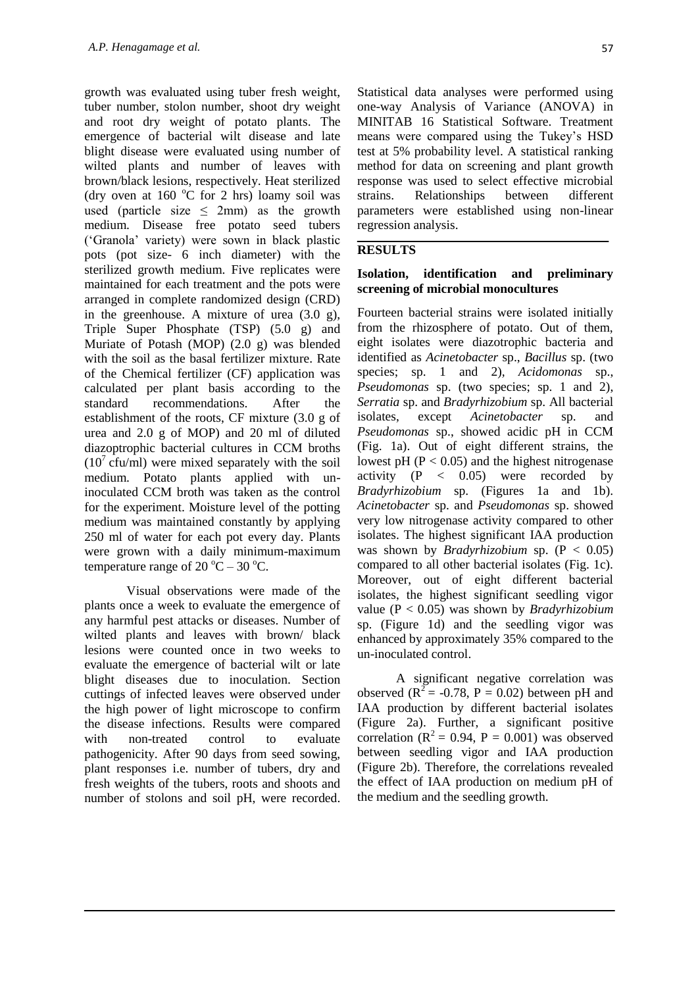growth was evaluated using tuber fresh weight, tuber number, stolon number, shoot dry weight and root dry weight of potato plants. The emergence of bacterial wilt disease and late blight disease were evaluated using number of wilted plants and number of leaves with brown/black lesions, respectively. Heat sterilized (dry oven at 160  $^{\circ}$ C for 2 hrs) loamy soil was used (particle size  $\leq$  2mm) as the growth medium. Disease free potato seed tubers ('Granola' variety) were sown in black plastic pots (pot size- 6 inch diameter) with the sterilized growth medium. Five replicates were maintained for each treatment and the pots were arranged in complete randomized design (CRD) in the greenhouse. A mixture of urea (3.0 g), Triple Super Phosphate (TSP) (5.0 g) and Muriate of Potash (MOP) (2.0 g) was blended with the soil as the basal fertilizer mixture. Rate of the Chemical fertilizer (CF) application was calculated per plant basis according to the standard recommendations. After the establishment of the roots, CF mixture (3.0 g of urea and 2.0 g of MOP) and 20 ml of diluted diazoptrophic bacterial cultures in CCM broths  $(10^7 \text{ cftu/ml})$  were mixed separately with the soil medium. Potato plants applied with uninoculated CCM broth was taken as the control for the experiment. Moisture level of the potting medium was maintained constantly by applying 250 ml of water for each pot every day. Plants were grown with a daily minimum-maximum temperature range of  $20^{\circ}$ C –  $30^{\circ}$ C.

Visual observations were made of the plants once a week to evaluate the emergence of any harmful pest attacks or diseases. Number of wilted plants and leaves with brown/ black lesions were counted once in two weeks to evaluate the emergence of bacterial wilt or late blight diseases due to inoculation. Section cuttings of infected leaves were observed under the high power of light microscope to confirm the disease infections. Results were compared with non-treated control to evaluate pathogenicity. After 90 days from seed sowing, plant responses i.e. number of tubers, dry and fresh weights of the tubers, roots and shoots and number of stolons and soil pH, were recorded.

Statistical data analyses were performed using one-way Analysis of Variance (ANOVA) in MINITAB 16 Statistical Software. Treatment means were compared using the Tukey's HSD test at 5% probability level. A statistical ranking method for data on screening and plant growth response was used to select effective microbial strains. Relationships between different parameters were established using non-linear regression analysis.

### **RESULTS**

#### **Isolation, identification and preliminary screening of microbial monocultures**

Fourteen bacterial strains were isolated initially from the rhizosphere of potato. Out of them, eight isolates were diazotrophic bacteria and identified as *Acinetobacter* sp., *Bacillus* sp. (two species; sp. 1 and 2)*, Acidomonas* sp., *Pseudomonas* sp. (two species; sp. 1 and 2), *Serratia* sp. and *Bradyrhizobium* sp. All bacterial isolates, except *Acinetobacter* sp. and *Pseudomonas* sp., showed acidic pH in CCM (Fig. 1a). Out of eight different strains, the lowest pH ( $P < 0.05$ ) and the highest nitrogenase activity  $(P \leq 0.05)$  were recorded by *Bradyrhizobium* sp. (Figures 1a and 1b). *Acinetobacter* sp. and *Pseudomonas* sp. showed very low nitrogenase activity compared to other isolates. The highest significant IAA production was shown by *Bradyrhizobium* sp. (P < 0.05) compared to all other bacterial isolates (Fig. 1c). Moreover, out of eight different bacterial isolates, the highest significant seedling vigor value (P < 0.05) was shown by *Bradyrhizobium*  sp. (Figure 1d) and the seedling vigor was enhanced by approximately 35% compared to the un-inoculated control.

 A significant negative correlation was observed ( $R^2$  = -0.78, P = 0.02) between pH and IAA production by different bacterial isolates (Figure 2a). Further, a significant positive correlation ( $R^2 = 0.94$ ,  $P = 0.001$ ) was observed between seedling vigor and IAA production (Figure 2b). Therefore, the correlations revealed the effect of IAA production on medium pH of the medium and the seedling growth.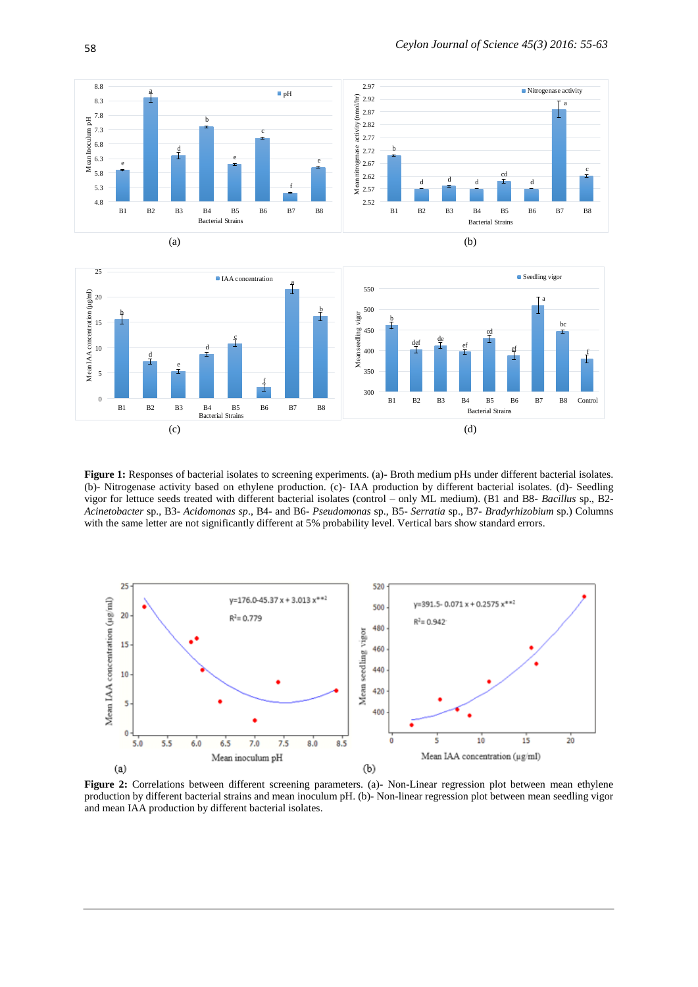



**Figure 1:** Responses of bacterial isolates to screening experiments. (a)- Broth medium pHs under different bacterial isolates. (b)- Nitrogenase activity based on ethylene production. (c)- IAA production by different bacterial isolates. (d)- Seedling vigor for lettuce seeds treated with different bacterial isolates (control – only ML medium). (B1 and B8- *Bacillus* sp., B2- *Acinetobacter* sp., B3- *Acidomonas sp*., B4- and B6- *Pseudomonas* sp., B5- *Serratia* sp., B7- *Bradyrhizobium* sp.) Columns with the same letter are not significantly different at 5% probability level. Vertical bars show standard errors.



**Figure 2:** Correlations between different screening parameters. (a)- Non-Linear regression plot between mean ethylene production by different bacterial strains and mean inoculum pH. (b)- Non-linear regression plot between mean seedling vigor and mean IAA production by different bacterial isolates.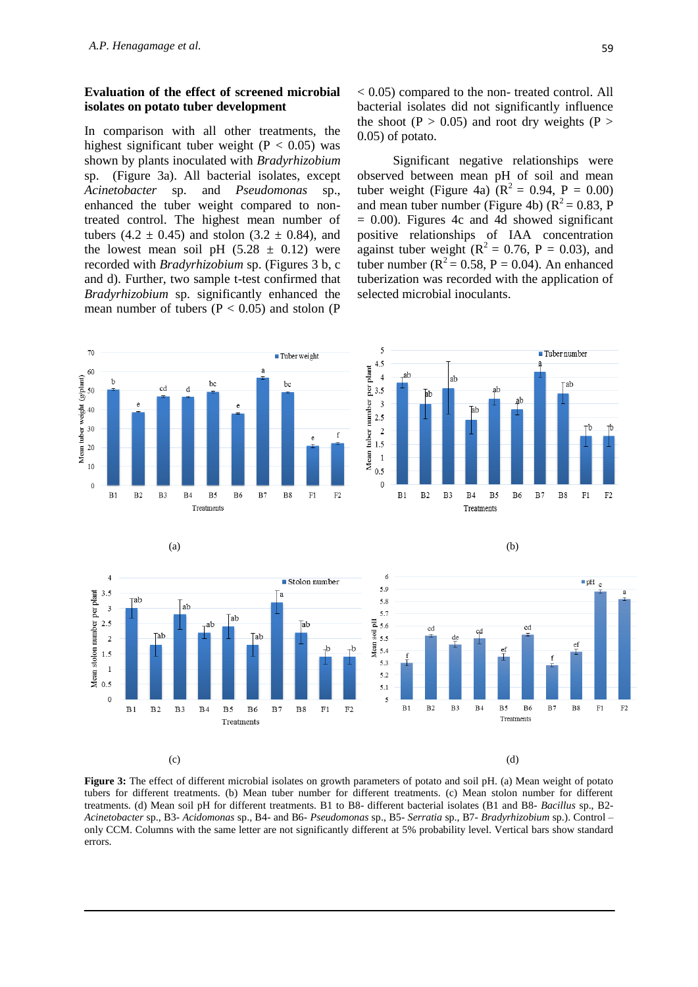#### **Evaluation of the effect of screened microbial isolates on potato tuber development**

In comparison with all other treatments, the highest significant tuber weight ( $P < 0.05$ ) was shown by plants inoculated with *Bradyrhizobium*  sp. (Figure 3a). All bacterial isolates, except *Acinetobacter* sp. and *Pseudomonas* sp., enhanced the tuber weight compared to nontreated control. The highest mean number of tubers  $(4.2 \pm 0.45)$  and stolon  $(3.2 \pm 0.84)$ , and the lowest mean soil pH  $(5.28 \pm 0.12)$  were recorded with *Bradyrhizobium* sp. (Figures 3 b, c and d). Further, two sample t-test confirmed that *Bradyrhizobium* sp. significantly enhanced the mean number of tubers  $(P < 0.05)$  and stolon  $(P$ 

< 0.05) compared to the non- treated control. All bacterial isolates did not significantly influence the shoot (P  $> 0.05$ ) and root dry weights (P  $>$ 0.05) of potato.

 Significant negative relationships were observed between mean pH of soil and mean tuber weight (Figure 4a)  $(R^2 = 0.94, P = 0.00)$ and mean tuber number (Figure 4b) ( $R^2 = 0.83$ , P  $= 0.00$ ). Figures 4c and 4d showed significant positive relationships of IAA concentration against tuber weight ( $R^2 = 0.76$ , P = 0.03), and tuber number ( $R^2 = 0.58$ , P = 0.04). An enhanced tuberization was recorded with the application of selected microbial inoculants.



**Figure 3:** The effect of different microbial isolates on growth parameters of potato and soil pH. (a) Mean weight of potato tubers for different treatments. (b) Mean tuber number for different treatments. (c) Mean stolon number for different treatments. (d) Mean soil pH for different treatments. B1 to B8- different bacterial isolates (B1 and B8- *Bacillus* sp., B2- *Acinetobacter* sp., B3- *Acidomonas* sp., B4- and B6- *Pseudomonas* sp., B5- *Serratia* sp., B7- *Bradyrhizobium* sp.). Control – only CCM. Columns with the same letter are not significantly different at 5% probability level. Vertical bars show standard errors.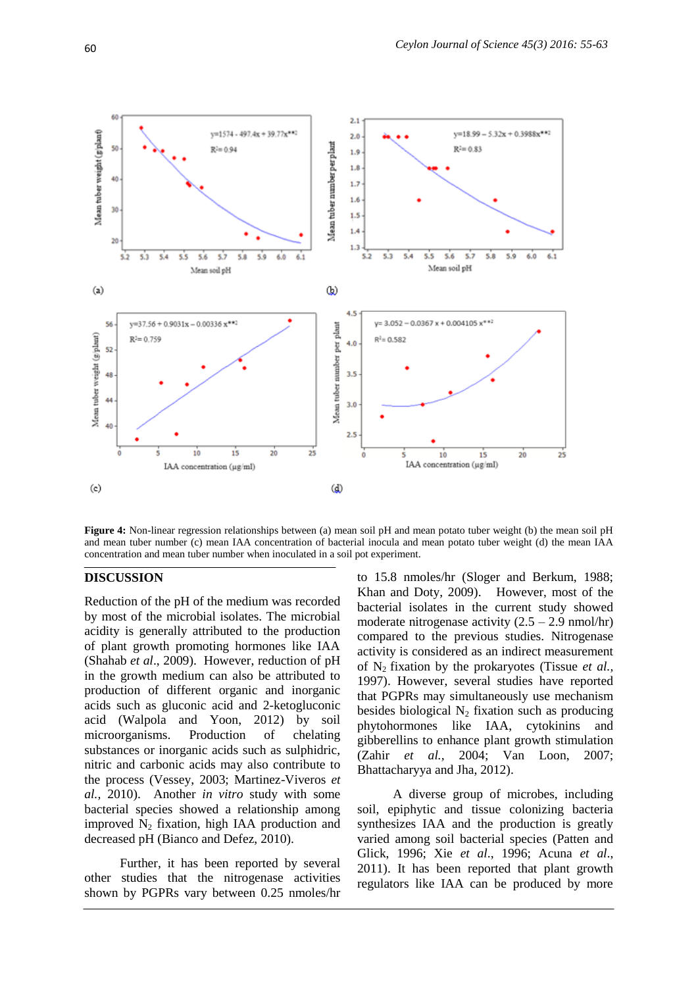

**Figure 4:** Non-linear regression relationships between (a) mean soil pH and mean potato tuber weight (b) the mean soil pH and mean tuber number (c) mean IAA concentration of bacterial inocula and mean potato tuber weight (d) the mean IAA concentration and mean tuber number when inoculated in a soil pot experiment.

### **DISCUSSION**

Reduction of the pH of the medium was recorded by most of the microbial isolates. The microbial acidity is generally attributed to the production of plant growth promoting hormones like IAA (Shahab *et al*., 2009). However, reduction of pH in the growth medium can also be attributed to production of different organic and inorganic acids such as gluconic acid and 2-ketogluconic acid (Walpola and Yoon, 2012) by soil microorganisms. Production of chelating substances or inorganic acids such as sulphidric, nitric and carbonic acids may also contribute to the process (Vessey, 2003; Martinez-Viveros *et al.,* 2010). Another *in vitro* study with some bacterial species showed a relationship among improved  $N_2$  fixation, high IAA production and decreased pH [\(Bianco](http://aem.asm.org/search?author1=Carmen+Bianco&sortspec=date&submit=Submit) and [Defez,](http://aem.asm.org/search?author1=Roberto+Defez&sortspec=date&submit=Submit) 2010).

 Further, it has been reported by several other studies that the nitrogenase activities shown by PGPRs vary between 0.25 nmoles/hr

to 15.8 nmoles/hr (Sloger and Berkum, 1988; Khan and Doty, 2009). However, most of the bacterial isolates in the current study showed moderate nitrogenase activity  $(2.5 - 2.9 \text{ nmol/hr})$ compared to the previous studies. Nitrogenase activity is considered as an indirect measurement of N2 fixation by the prokaryotes (Tissue *et al.,* 1997). However, several studies have reported that PGPRs may simultaneously use mechanism besides biological  $N_2$  fixation such as producing phytohormones like IAA, cytokinins and gibberellins to enhance plant growth stimulation (Zahir *et al.,* 2004; Van Loon, 2007; Bhattacharyya and Jha, 2012).

 A diverse group of microbes, including soil, epiphytic and tissue colonizing bacteria synthesizes IAA and the production is greatly varied among soil bacterial species (Patten and Glick, 1996; Xie *et al*., 1996; Acuna *et al*., 2011). It has been reported that plant growth regulators like IAA can be produced by more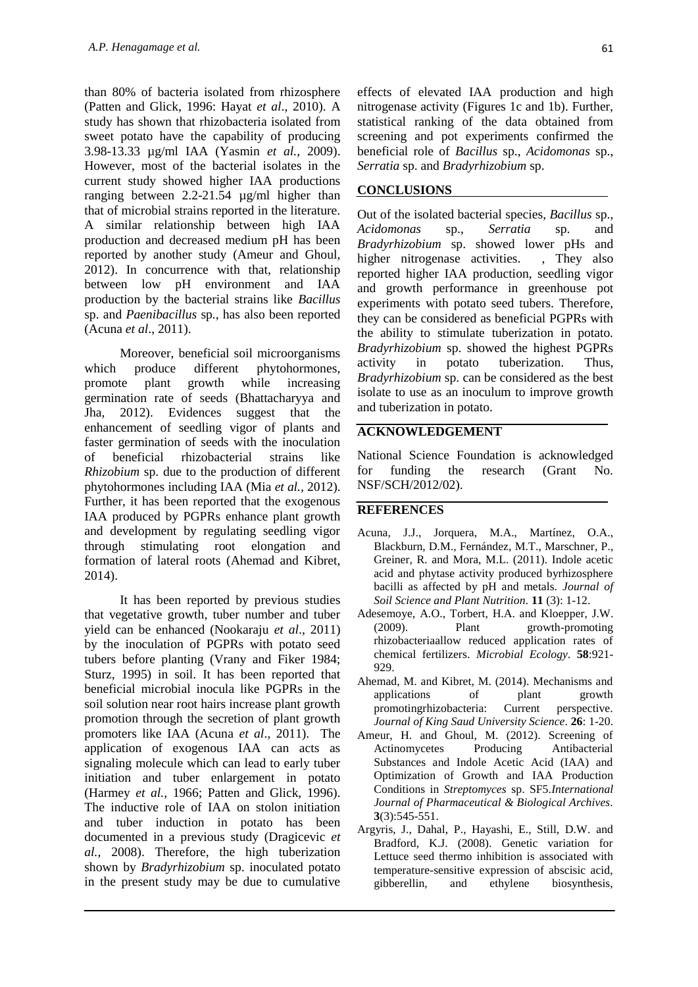than 80% of bacteria isolated from rhizosphere (Patten and Glick, 1996: Hayat *et al*., 2010). A study has shown that rhizobacteria isolated from sweet potato have the capability of producing 3.98-13.33 µg/ml IAA (Yasmin *et al.,* 2009). However, most of the bacterial isolates in the current study showed higher IAA productions ranging between 2.2-21.54 µg/ml higher than that of microbial strains reported in the literature. A similar relationship between high IAA production and decreased medium pH has been reported by another study (Ameur and Ghoul, 2012). In concurrence with that, relationship between low pH environment and IAA production by the bacterial strains like *Bacillus*  sp. and *Paenibacillus* sp*.*, has also been reported (Acuna *et al*., 2011).

 Moreover, beneficial soil microorganisms which produce different phytohormones, promote plant growth while increasing germination rate of seeds (Bhattacharyya and Jha, 2012). Evidences suggest that the enhancement of seedling vigor of plants and faster germination of seeds with the inoculation of beneficial rhizobacterial strains like *Rhizobium* sp. due to the production of different phytohormones including IAA (Mia *et al.,* 2012). Further, it has been reported that the exogenous IAA produced by PGPRs enhance plant growth and development by regulating seedling vigor through stimulating root elongation and formation of lateral roots (Ahemad and Kibret, 2014).

 It has been reported by previous studies that vegetative growth, tuber number and tuber yield can be enhanced (Nookaraju *et al*., 2011) by the inoculation of PGPRs with potato seed tubers before planting (Vrany and Fiker 1984; Sturz, 1995) in soil. It has been reported that beneficial microbial inocula like PGPRs in the soil solution near root hairs increase plant growth promotion through the secretion of plant growth promoters like IAA (Acuna *et al*., 2011). The application of exogenous IAA can acts as signaling molecule which can lead to early tuber initiation and tuber enlargement in potato (Harmey *et al.,* 1966; Patten and Glick, 1996). The inductive role of IAA on stolon initiation and tuber induction in potato has been documented in a previous study (Dragicevic *et al.,* 2008). Therefore, the high tuberization shown by *Bradyrhizobium* sp. inoculated potato in the present study may be due to cumulative

effects of elevated IAA production and high nitrogenase activity (Figures 1c and 1b). Further, statistical ranking of the data obtained from screening and pot experiments confirmed the beneficial role of *Bacillus* sp., *Acidomonas* sp., *Serratia* sp. and *Bradyrhizobium* sp.

#### **CONCLUSIONS**

Out of the isolated bacterial species, *Bacillus* sp., *Acidomonas* sp., *Serratia* sp. and *Bradyrhizobium* sp. showed lower pHs and higher nitrogenase activities. , They also reported higher IAA production, seedling vigor and growth performance in greenhouse pot experiments with potato seed tubers. Therefore, they can be considered as beneficial PGPRs with the ability to stimulate tuberization in potato. *Bradyrhizobium* sp. showed the highest PGPRs activity in potato tuberization. Thus, *Bradyrhizobium* sp. can be considered as the best isolate to use as an inoculum to improve growth and tuberization in potato.

### **ACKNOWLEDGEMENT**

National Science Foundation is acknowledged for funding the research (Grant No. NSF/SCH/2012/02).

### **REFERENCES**

- Acuna, J.J., Jorquera, M.A., Martínez, O.A., Blackburn, D.M., Fernández, M.T., Marschner, P., Greiner, R. and Mora, M.L. (2011). Indole acetic acid and phytase activity produced byrhizosphere bacilli as affected by pH and metals. *Journal of Soil Science and Plant Nutrition.* **11** (3): 1-12.
- Adesemoye, A.O., Torbert, H.A. and Kloepper, J.W. (2009). Plant growth-promoting rhizobacteriaallow reduced application rates of chemical fertilizers. *Microbial Ecology.* **58**:921- 929.
- Ahemad, M. and Kibret, M. (2014). Mechanisms and applications of plant growth promotingrhizobacteria: Current perspective. *Journal of King Saud University Science.* **26**: 1-20.
- Ameur, H. and Ghoul, M. (2012). Screening of Actinomycetes Producing Antibacterial Substances and Indole Acetic Acid (IAA) and Optimization of Growth and IAA Production Conditions in *Streptomyces* sp. SF5.*International Journal of Pharmaceutical & Biological Archives.* **3**(3):545-551.
- Argyris, J., Dahal, P., Hayashi, E., Still, D.W. and Bradford, K.J. (2008). Genetic variation for Lettuce seed thermo inhibition is associated with temperature-sensitive expression of abscisic acid, gibberellin, and ethylene biosynthesis,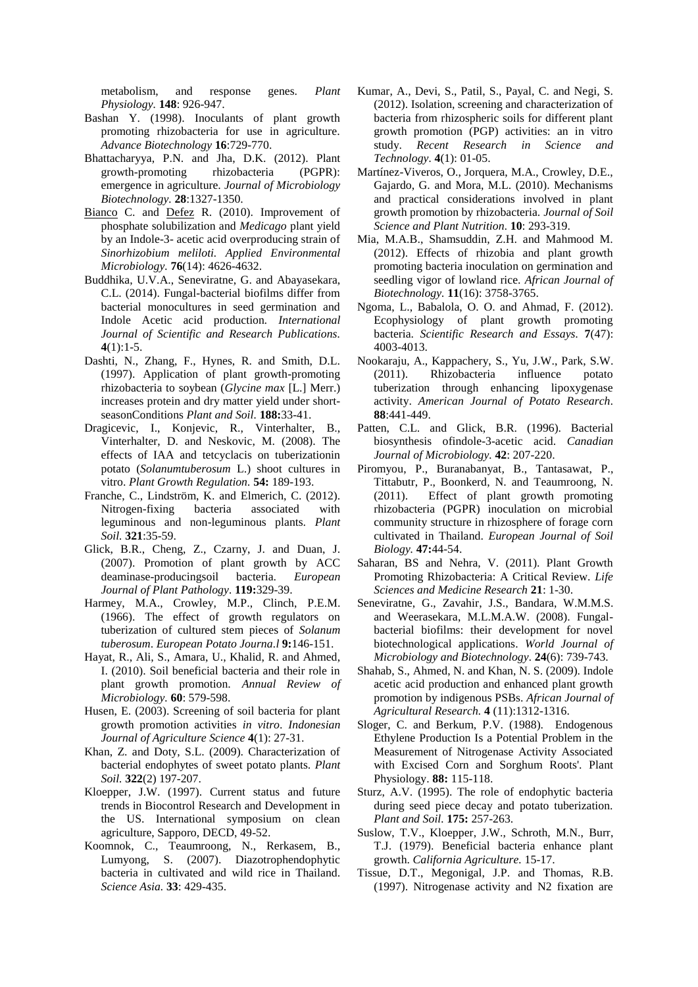metabolism, and response genes. *Plant Physiology.* **148**: 926-947.

- Bashan Y. (1998). Inoculants of plant growth promoting rhizobacteria for use in agriculture. *Advance Biotechnology* **16**:729-770.
- Bhattacharyya, P.N. and Jha, D.K. (2012). Plant growth-promoting rhizobacteria (PGPR): emergence in agriculture. *Journal of Microbiology Biotechnology.* **28**:1327-1350.
- [Bianco](http://www.ncbi.nlm.nih.gov/pubmed/?term=Bianco%20C%5Bauth%5D) C. and [Defez](http://www.ncbi.nlm.nih.gov/pubmed/?term=Defez%20R%5Bauth%5D) R. (2010). Improvement of phosphate solubilization and *Medicago* plant yield by an Indole-3- acetic acid overproducing strain of *Sinorhizobium meliloti. Applied Environmental Microbiology.* **76**(14): 4626-4632.
- Buddhika, U.V.A., Seneviratne, G. and Abayasekara, C.L. (2014). Fungal-bacterial biofilms differ from bacterial monocultures in seed germination and Indole Acetic acid production*. International Journal of Scientific and Research Publications.* **4**(1):1-5.
- Dashti, N., Zhang, F., Hynes, R. and Smith, D.L. (1997). Application of plant growth-promoting rhizobacteria to soybean (*Glycine max* [L.] Merr.) increases protein and dry matter yield under shortseasonConditions *Plant and Soil.* **188:**33-41.
- Dragicevic, I., Konjevic, R., Vinterhalter, B., Vinterhalter, D. and Neskovic, M. (2008). The effects of IAA and tetcyclacis on tuberizationin potato (*Solanumtuberosum* L.) shoot cultures in vitro. *Plant Growth Regulation.* **54:** 189-193.
- Franche, C., Lindström, K. and Elmerich, C. (2012). Nitrogen-fixing bacteria associated with leguminous and non-leguminous plants. *Plant Soil.* **321**:35-59.
- Glick, B.R., Cheng, Z., Czarny, J. and Duan, J. (2007). Promotion of plant growth by ACC deaminase-producingsoil bacteria. *European Journal of Plant Pathology.* **119:**329-39.
- Harmey, M.A., Crowley, M.P., Clinch, P.E.M. (1966). The effect of growth regulators on tuberization of cultured stem pieces of *Solanum tuberosum*. *European Potato Journa.l* **9:**146-151.
- Hayat, R., Ali, S., Amara, U., Khalid, R. and Ahmed, I. (2010). Soil beneficial bacteria and their role in plant growth promotion. *Annual Review of Microbiology.* **60**: 579-598.
- Husen, E. (2003). Screening of soil bacteria for plant growth promotion activities *in vitro*. *Indonesian Journal of Agriculture Science* **4**(1): 27-31.
- Khan, Z. and Doty, S.L. (2009). Characterization of bacterial endophytes of sweet potato plants. *Plant Soil.* **322**(2) 197-207.
- Kloepper, J.W. (1997). Current status and future trends in Biocontrol Research and Development in the US. International symposium on clean agriculture, Sapporo, DECD, 49-52.
- Koomnok, C., Teaumroong, N., Rerkasem, B., Lumyong, S. (2007). Diazotrophendophytic bacteria in cultivated and wild rice in Thailand. *Science Asia.* **33**: 429-435.
- Kumar, A., Devi, S., Patil, S., Payal, C. and Negi, S. (2012). Isolation, screening and characterization of bacteria from rhizospheric soils for different plant growth promotion (PGP) activities: an in vitro study. *Recent Research in Science and Technology.* **4**(1): 01-05.
- Martínez-Viveros, O., Jorquera, M.A., Crowley, D.E., Gajardo, G. and Mora, M.L. (2010). Mechanisms and practical considerations involved in plant growth promotion by rhizobacteria. *Journal of Soil Science and Plant Nutrition.* **10**: 293-319.
- Mia, M.A.B., Shamsuddin, Z.H. and Mahmood M. (2012). Effects of rhizobia and plant growth promoting bacteria inoculation on germination and seedling vigor of lowland rice. *African Journal of Biotechnology.* **11**(16): 3758-3765.
- Ngoma, L., Babalola, O. O. and Ahmad, F. (2012). Ecophysiology of plant growth promoting bacteria. *Scientific Research and Essays.* **7**(47): 4003-4013.
- Nookaraju, A., Kappachery, S., Yu, J.W., Park, S.W. (2011). Rhizobacteria influence potato tuberization through enhancing lipoxygenase activity. *American Journal of Potato Research.* **88**:441-449.
- Patten, C.L. and Glick, B.R. (1996). Bacterial biosynthesis ofindole-3-acetic acid. *Canadian Journal of Microbiology.* **42**: 207-220.
- Piromyou, P., Buranabanyat, B., Tantasawat, P., Tittabutr, P., Boonkerd, N. and Teaumroong, N. (2011). Effect of plant growth promoting rhizobacteria (PGPR) inoculation on microbial community structure in rhizosphere of forage corn cultivated in Thailand. *European Journal of Soil Biology.* **47:**44-54.
- Saharan, BS and Nehra, V. (2011). Plant Growth Promoting Rhizobacteria: A Critical Review. *Life Sciences and Medicine Research* **21**: 1-30.
- Seneviratne, G., Zavahir, J.S., Bandara, W.M.M.S. and Weerasekara, M.L.M.A.W. (2008). Fungalbacterial biofilms: their development for novel biotechnological applications. *World Journal of Microbiology and Biotechnology.* **24**(6): 739-743.
- Shahab, S., Ahmed, N. and Khan, N. S. (2009). Indole acetic acid production and enhanced plant growth promotion by indigenous PSBs. *African Journal of Agricultural Research.* **4** (11):1312-1316.
- Sloger, C. and Berkum, P.V. (1988). Endogenous Ethylene Production Is a Potential Problem in the Measurement of Nitrogenase Activity Associated with Excised Corn and Sorghum Roots'. Plant Physiology. **88:** 115-118.
- Sturz, A.V. (1995). The role of endophytic bacteria during seed piece decay and potato tuberization. *Plant and Soil.* **175:** 257-263.
- Suslow, T.V., Kloepper, J.W., Schroth, M.N., Burr, T.J. (1979). Beneficial bacteria enhance plant growth. *California Agriculture.* 15-17.
- Tissue, D.T., Megonigal, J.P. and Thomas, R.B. (1997). Nitrogenase activity and N2 fixation are